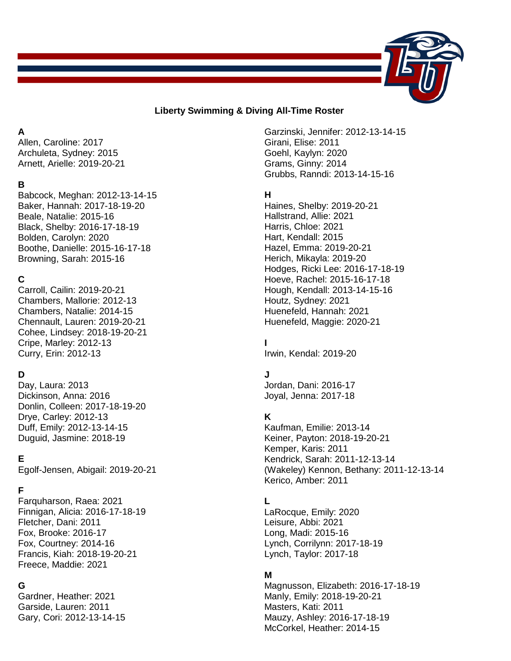

#### **Liberty Swimming & Diving All-Time Roster**

#### **A**

Allen, Caroline: 2017 Archuleta, Sydney: 2015 Arnett, Arielle: 2019-20-21

## **B**

Babcock, Meghan: 2012-13-14-15 Baker, Hannah: 2017-18-19-20 Beale, Natalie: 2015-16 Black, Shelby: 2016-17-18-19 Bolden, Carolyn: 2020 Boothe, Danielle: 2015-16-17-18 Browning, Sarah: 2015-16

# **C**

Carroll, Cailin: 2019-20-21 Chambers, Mallorie: 2012-13 Chambers, Natalie: 2014-15 Chennault, Lauren: 2019-20-21 Cohee, Lindsey: 2018-19-20-21 Cripe, Marley: 2012-13 Curry, Erin: 2012-13

# **D**

Day, Laura: 2013 Dickinson, Anna: 2016 Donlin, Colleen: 2017-18-19-20 Drye, Carley: 2012-13 Duff, Emily: 2012-13-14-15 Duguid, Jasmine: 2018-19

# **E**

Egolf-Jensen, Abigail: 2019-20-21

## **F**

Farquharson, Raea: 2021 Finnigan, Alicia: 2016-17-18-19 Fletcher, Dani: 2011 Fox, Brooke: 2016-17 Fox, Courtney: 2014-16 Francis, Kiah: 2018-19-20-21 Freece, Maddie: 2021

#### **G**

Gardner, Heather: 2021 Garside, Lauren: 2011 Gary, Cori: 2012-13-14-15 Garzinski, Jennifer: 2012-13-14-15 Girani, Elise: 2011 Goehl, Kaylyn: 2020 Grams, Ginny: 2014 Grubbs, Ranndi: 2013-14-15-16

#### **H**

Haines, Shelby: 2019-20-21 Hallstrand, Allie: 2021 Harris, Chloe: 2021 Hart, Kendall: 2015 Hazel, Emma: 2019-20-21 Herich, Mikayla: 2019-20 Hodges, Ricki Lee: 2016-17-18-19 Hoeve, Rachel: 2015-16-17-18 Hough, Kendall: 2013-14-15-16 Houtz, Sydney: 2021 Huenefeld, Hannah: 2021 Huenefeld, Maggie: 2020-21

## **I**

Irwin, Kendal: 2019-20

## **J**

Jordan, Dani: 2016-17 Joyal, Jenna: 2017-18

## **K**

Kaufman, Emilie: 2013-14 Keiner, Payton: 2018-19-20-21 Kemper, Karis: 2011 Kendrick, Sarah: 2011-12-13-14 (Wakeley) Kennon, Bethany: 2011-12-13-14 Kerico, Amber: 2011

## **L**

LaRocque, Emily: 2020 Leisure, Abbi: 2021 Long, Madi: 2015-16 Lynch, Corrilynn: 2017-18-19 Lynch, Taylor: 2017-18

## **M**

Magnusson, Elizabeth: 2016-17-18-19 Manly, Emily: 2018-19-20-21 Masters, Kati: 2011 Mauzy, Ashley: 2016-17-18-19 McCorkel, Heather: 2014-15